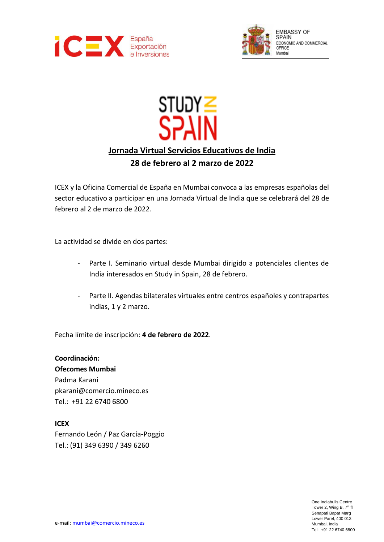



# קטוד<br>**SPAIN Jornada Virtual Servicios Educativos de India**

# **28 de febrero al 2 marzo de 2022**

ICEX y la Oficina Comercial de España en Mumbai convoca a las empresas españolas del sector educativo a participar en una Jornada Virtual de India que se celebrará del 28 de febrero al 2 de marzo de 2022.

La actividad se divide en dos partes:

- Parte I. Seminario virtual desde Mumbai dirigido a potenciales clientes de India interesados en Study in Spain, 28 de febrero.
- Parte II. Agendas bilaterales virtuales entre centros españoles y contrapartes indias, 1 y 2 marzo.

Fecha límite de inscripción: **4 de febrero de 2022**.

**Coordinación: Ofecomes Mumbai** Padma Karani pkarani@comercio.mineco.es Tel.: +91 22 6740 6800

## **ICEX**

Fernando León / Paz García-Poggio Tel.: (91) 349 6390 / 349 6260

> One Indiabulls Centre Tower 2, Wing B, 7<sup>th</sup> fl Senapati Bapat Marg Lower Parel, 400 013 Mumbai, India Tel: +91 22 6740 6800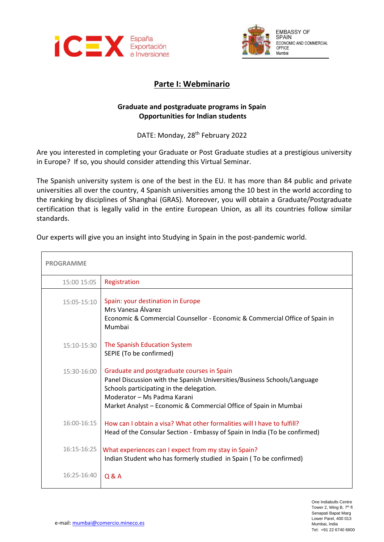



# **Parte I: Webminario**

## **Graduate and postgraduate programs in Spain Opportunities for Indian students**

DATE: Monday, 28<sup>th</sup> February 2022

Are you interested in completing your Graduate or Post Graduate studies at a prestigious university in Europe? If so, you should consider attending this Virtual Seminar.

The Spanish university system is one of the best in the EU. It has more than 84 public and private universities all over the country, 4 Spanish universities among the 10 best in the world according to the ranking by disciplines of Shanghai (GRAS). Moreover, you will obtain a Graduate/Postgraduate certification that is legally valid in the entire European Union, as all its countries follow similar standards.

Our experts will give you an insight into Studying in Spain in the post-pandemic world.

| <b>PROGRAMME</b> |                                                                                                                                                                                                                                                                       |
|------------------|-----------------------------------------------------------------------------------------------------------------------------------------------------------------------------------------------------------------------------------------------------------------------|
| 15:00 15:05      | Registration                                                                                                                                                                                                                                                          |
| $15:05 - 15:10$  | Spain: your destination in Europe<br>Mrs Vanesa Álvarez<br>Economic & Commercial Counsellor - Economic & Commercial Office of Spain in<br>Mumbai                                                                                                                      |
| 15:10-15:30      | The Spanish Education System<br>SEPIE (To be confirmed)                                                                                                                                                                                                               |
| 15:30-16:00      | Graduate and postgraduate courses in Spain<br>Panel Discussion with the Spanish Universities/Business Schools/Language<br>Schools participating in the delegation.<br>Moderator - Ms Padma Karani<br>Market Analyst - Economic & Commercial Office of Spain in Mumbai |
| 16:00-16:15      | How can I obtain a visa? What other formalities will I have to fulfill?<br>Head of the Consular Section - Embassy of Spain in India (To be confirmed)                                                                                                                 |
| 16:15-16:25      | What experiences can I expect from my stay in Spain?<br>Indian Student who has formerly studied in Spain (To be confirmed)                                                                                                                                            |
| 16:25-16:40      | Q & A                                                                                                                                                                                                                                                                 |

One Indiabulls Centre Tower 2, Wing B, 7<sup>th</sup> fl Senapati Bapat Marg Lower Parel, 400 013 Mumbai, India Tel: +91 22 6740 6800